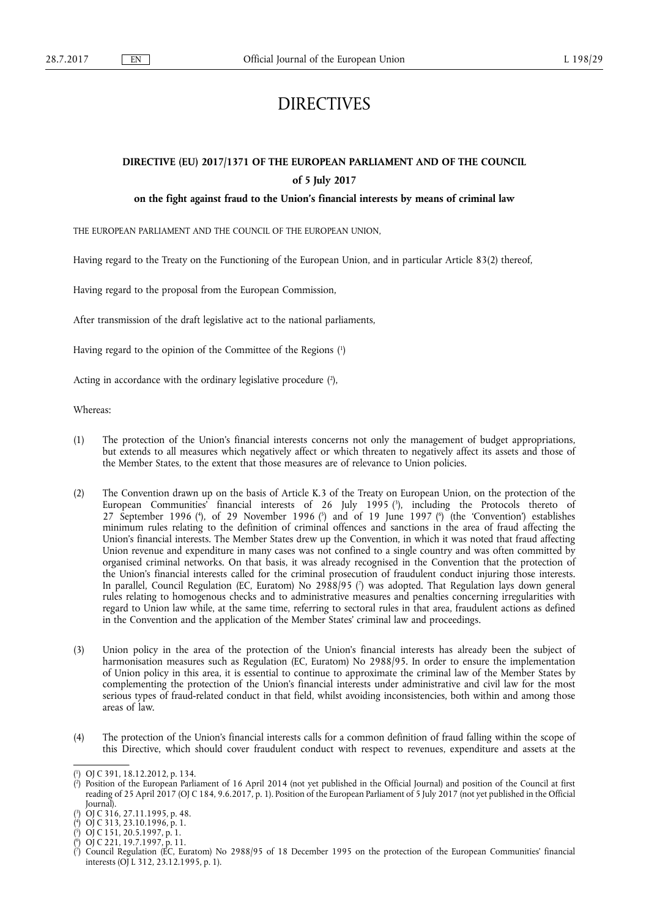# DIRECTIVES

# **DIRECTIVE (EU) 2017/1371 OF THE EUROPEAN PARLIAMENT AND OF THE COUNCIL of 5 July 2017**

# **on the fight against fraud to the Union's financial interests by means of criminal law**

THE EUROPEAN PARLIAMENT AND THE COUNCIL OF THE EUROPEAN UNION,

Having regard to the Treaty on the Functioning of the European Union, and in particular Article 83(2) thereof,

Having regard to the proposal from the European Commission,

After transmission of the draft legislative act to the national parliaments,

Having regard to the opinion of the Committee of the Regions ( 1 )

Acting in accordance with the ordinary legislative procedure (2),

Whereas:

- (1) The protection of the Union's financial interests concerns not only the management of budget appropriations, but extends to all measures which negatively affect or which threaten to negatively affect its assets and those of the Member States, to the extent that those measures are of relevance to Union policies.
- (2) The Convention drawn up on the basis of Article K.3 of the Treaty on European Union, on the protection of the European Communities' financial interests of 26 July 1995 ( 3 ), including the Protocols thereto of 27 September 1996 (<sup>4</sup>), of 29 November 1996 (<sup>5</sup>) and of 19 June 1997 (<sup>6</sup>) (the 'Convention') establishes minimum rules relating to the definition of criminal offences and sanctions in the area of fraud affecting the Union's financial interests. The Member States drew up the Convention, in which it was noted that fraud affecting Union revenue and expenditure in many cases was not confined to a single country and was often committed by organised criminal networks. On that basis, it was already recognised in the Convention that the protection of the Union's financial interests called for the criminal prosecution of fraudulent conduct injuring those interests. In parallel, Council Regulation (EC, Euratom) No 2988/95 ( 7 ) was adopted. That Regulation lays down general rules relating to homogenous checks and to administrative measures and penalties concerning irregularities with regard to Union law while, at the same time, referring to sectoral rules in that area, fraudulent actions as defined in the Convention and the application of the Member States' criminal law and proceedings.
- (3) Union policy in the area of the protection of the Union's financial interests has already been the subject of harmonisation measures such as Regulation (EC, Euratom) No 2988/95. In order to ensure the implementation of Union policy in this area, it is essential to continue to approximate the criminal law of the Member States by complementing the protection of the Union's financial interests under administrative and civil law for the most serious types of fraud-related conduct in that field, whilst avoiding inconsistencies, both within and among those areas of law.
- (4) The protection of the Union's financial interests calls for a common definition of fraud falling within the scope of this Directive, which should cover fraudulent conduct with respect to revenues, expenditure and assets at the

<sup>(</sup> 1 ) OJ C 391, 18.12.2012, p. 134.

<sup>(</sup> 2 ) Position of the European Parliament of 16 April 2014 (not yet published in the Official Journal) and position of the Council at first reading of 25 April 2017 (OJ C 184, 9.6.2017, p. 1). Position of the European Parliament of 5 July 2017 (not yet published in the Official Journal).

<sup>(</sup> 3 ) OJ C 316, 27.11.1995, p. 48.

<sup>(</sup> 4 ) OJ C 313, 23.10.1996, p. 1.

<sup>(</sup> 5 ) OJ C 151, 20.5.1997, p. 1. ( 6 ) OJ C 221, 19.7.1997, p. 11.

<sup>(</sup> 7 ) Council Regulation (EC, Euratom) No 2988/95 of 18 December 1995 on the protection of the European Communities' financial interests (OJ L 312, 23.12.1995, p. 1).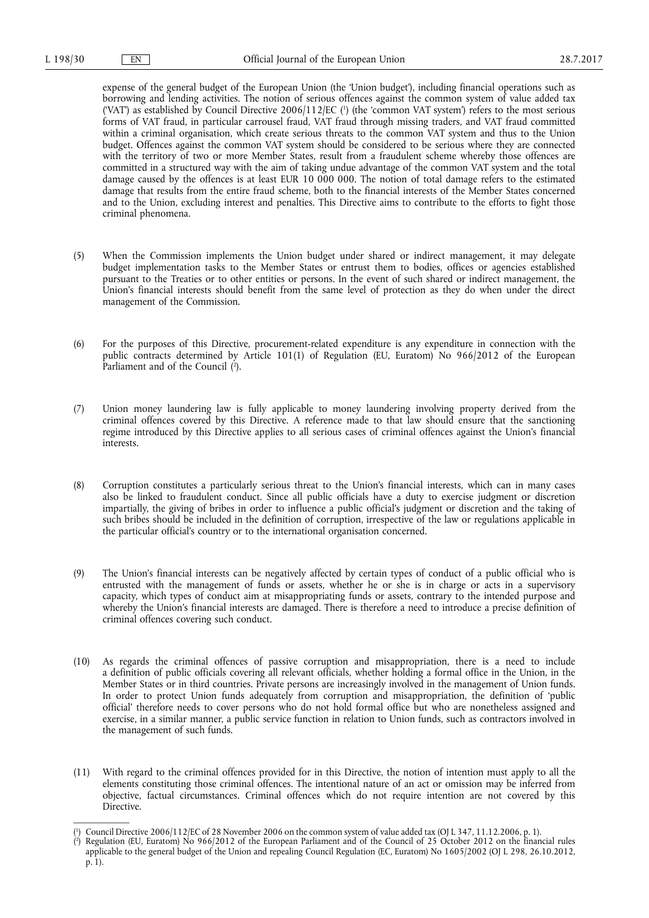expense of the general budget of the European Union (the 'Union budget'), including financial operations such as borrowing and lending activities. The notion of serious offences against the common system of value added tax ('VAT') as established by Council Directive 2006/112/EC (') (the 'common VAT system') refers to the most serious forms of VAT fraud, in particular carrousel fraud, VAT fraud through missing traders, and VAT fraud committed within a criminal organisation, which create serious threats to the common VAT system and thus to the Union budget. Offences against the common VAT system should be considered to be serious where they are connected with the territory of two or more Member States, result from a fraudulent scheme whereby those offences are committed in a structured way with the aim of taking undue advantage of the common VAT system and the total damage caused by the offences is at least EUR 10 000 000. The notion of total damage refers to the estimated damage that results from the entire fraud scheme, both to the financial interests of the Member States concerned and to the Union, excluding interest and penalties. This Directive aims to contribute to the efforts to fight those criminal phenomena.

- (5) When the Commission implements the Union budget under shared or indirect management, it may delegate budget implementation tasks to the Member States or entrust them to bodies, offices or agencies established pursuant to the Treaties or to other entities or persons. In the event of such shared or indirect management, the Union's financial interests should benefit from the same level of protection as they do when under the direct management of the Commission.
- (6) For the purposes of this Directive, procurement-related expenditure is any expenditure in connection with the public contracts determined by Article 101(1) of Regulation (EU, Euratom) No 966/2012 of the European Parliament and of the Council (<sup>2</sup>).
- (7) Union money laundering law is fully applicable to money laundering involving property derived from the criminal offences covered by this Directive. A reference made to that law should ensure that the sanctioning regime introduced by this Directive applies to all serious cases of criminal offences against the Union's financial interests.
- (8) Corruption constitutes a particularly serious threat to the Union's financial interests, which can in many cases also be linked to fraudulent conduct. Since all public officials have a duty to exercise judgment or discretion impartially, the giving of bribes in order to influence a public official's judgment or discretion and the taking of such bribes should be included in the definition of corruption, irrespective of the law or regulations applicable in the particular official's country or to the international organisation concerned.
- (9) The Union's financial interests can be negatively affected by certain types of conduct of a public official who is entrusted with the management of funds or assets, whether he or she is in charge or acts in a supervisory capacity, which types of conduct aim at misappropriating funds or assets, contrary to the intended purpose and whereby the Union's financial interests are damaged. There is therefore a need to introduce a precise definition of criminal offences covering such conduct.
- (10) As regards the criminal offences of passive corruption and misappropriation, there is a need to include a definition of public officials covering all relevant officials, whether holding a formal office in the Union, in the Member States or in third countries. Private persons are increasingly involved in the management of Union funds. In order to protect Union funds adequately from corruption and misappropriation, the definition of 'public official' therefore needs to cover persons who do not hold formal office but who are nonetheless assigned and exercise, in a similar manner, a public service function in relation to Union funds, such as contractors involved in the management of such funds.
- (11) With regard to the criminal offences provided for in this Directive, the notion of intention must apply to all the elements constituting those criminal offences. The intentional nature of an act or omission may be inferred from objective, factual circumstances. Criminal offences which do not require intention are not covered by this Directive.

<sup>(</sup> 1 ) Council Directive 2006/112/EC of 28 November 2006 on the common system of value added tax (OJ L 347, 11.12.2006, p. 1).

<sup>(</sup> 2 ) Regulation (EU, Euratom) No 966/2012 of the European Parliament and of the Council of 25 October 2012 on the financial rules applicable to the general budget of the Union and repealing Council Regulation (EC, Euratom) No 1605/2002 (OJ L 298, 26.10.2012, p. 1).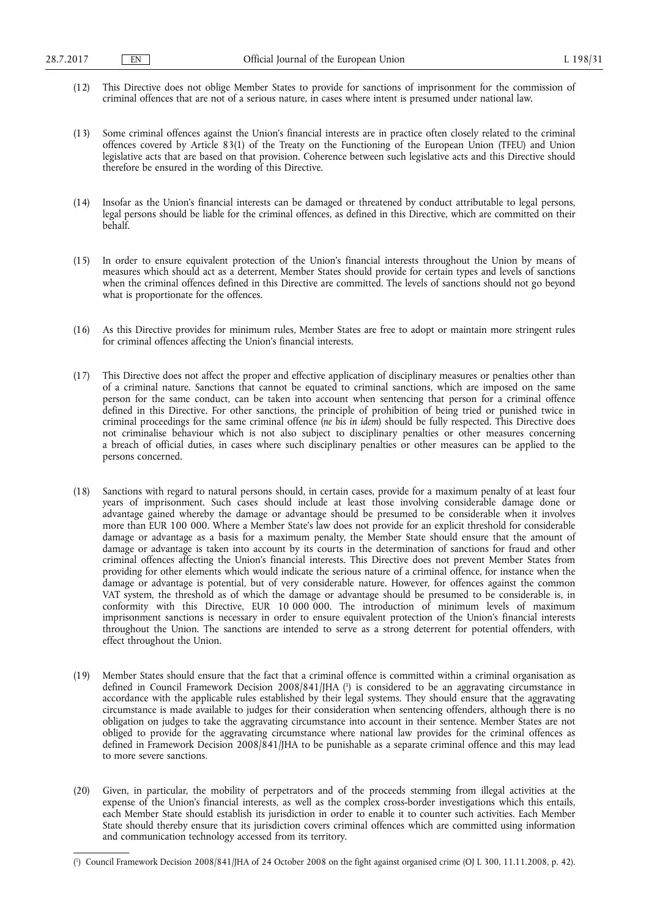- (12) This Directive does not oblige Member States to provide for sanctions of imprisonment for the commission of criminal offences that are not of a serious nature, in cases where intent is presumed under national law.
- (13) Some criminal offences against the Union's financial interests are in practice often closely related to the criminal offences covered by Article 83(1) of the Treaty on the Functioning of the European Union (TFEU) and Union legislative acts that are based on that provision. Coherence between such legislative acts and this Directive should therefore be ensured in the wording of this Directive.
- (14) Insofar as the Union's financial interests can be damaged or threatened by conduct attributable to legal persons, legal persons should be liable for the criminal offences, as defined in this Directive, which are committed on their behalf.
- (15) In order to ensure equivalent protection of the Union's financial interests throughout the Union by means of measures which should act as a deterrent, Member States should provide for certain types and levels of sanctions when the criminal offences defined in this Directive are committed. The levels of sanctions should not go beyond what is proportionate for the offences.
- (16) As this Directive provides for minimum rules, Member States are free to adopt or maintain more stringent rules for criminal offences affecting the Union's financial interests.
- (17) This Directive does not affect the proper and effective application of disciplinary measures or penalties other than of a criminal nature. Sanctions that cannot be equated to criminal sanctions, which are imposed on the same person for the same conduct, can be taken into account when sentencing that person for a criminal offence defined in this Directive. For other sanctions, the principle of prohibition of being tried or punished twice in criminal proceedings for the same criminal offence (*ne bis in idem*) should be fully respected. This Directive does not criminalise behaviour which is not also subject to disciplinary penalties or other measures concerning a breach of official duties, in cases where such disciplinary penalties or other measures can be applied to the persons concerned.
- (18) Sanctions with regard to natural persons should, in certain cases, provide for a maximum penalty of at least four years of imprisonment. Such cases should include at least those involving considerable damage done or advantage gained whereby the damage or advantage should be presumed to be considerable when it involves more than EUR 100 000. Where a Member State's law does not provide for an explicit threshold for considerable damage or advantage as a basis for a maximum penalty, the Member State should ensure that the amount of damage or advantage is taken into account by its courts in the determination of sanctions for fraud and other criminal offences affecting the Union's financial interests. This Directive does not prevent Member States from providing for other elements which would indicate the serious nature of a criminal offence, for instance when the damage or advantage is potential, but of very considerable nature. However, for offences against the common VAT system, the threshold as of which the damage or advantage should be presumed to be considerable is, in conformity with this Directive, EUR 10 000 000. The introduction of minimum levels of maximum imprisonment sanctions is necessary in order to ensure equivalent protection of the Union's financial interests throughout the Union. The sanctions are intended to serve as a strong deterrent for potential offenders, with effect throughout the Union.
- (19) Member States should ensure that the fact that a criminal offence is committed within a criminal organisation as defined in Council Framework Decision 2008/841/JHA ( 1 ) is considered to be an aggravating circumstance in accordance with the applicable rules established by their legal systems. They should ensure that the aggravating circumstance is made available to judges for their consideration when sentencing offenders, although there is no obligation on judges to take the aggravating circumstance into account in their sentence. Member States are not obliged to provide for the aggravating circumstance where national law provides for the criminal offences as defined in Framework Decision 2008/841/JHA to be punishable as a separate criminal offence and this may lead to more severe sanctions.
- (20) Given, in particular, the mobility of perpetrators and of the proceeds stemming from illegal activities at the expense of the Union's financial interests, as well as the complex cross-border investigations which this entails, each Member State should establish its jurisdiction in order to enable it to counter such activities. Each Member State should thereby ensure that its jurisdiction covers criminal offences which are committed using information and communication technology accessed from its territory.

<sup>(</sup> 1 ) Council Framework Decision 2008/841/JHA of 24 October 2008 on the fight against organised crime (OJ L 300, 11.11.2008, p. 42).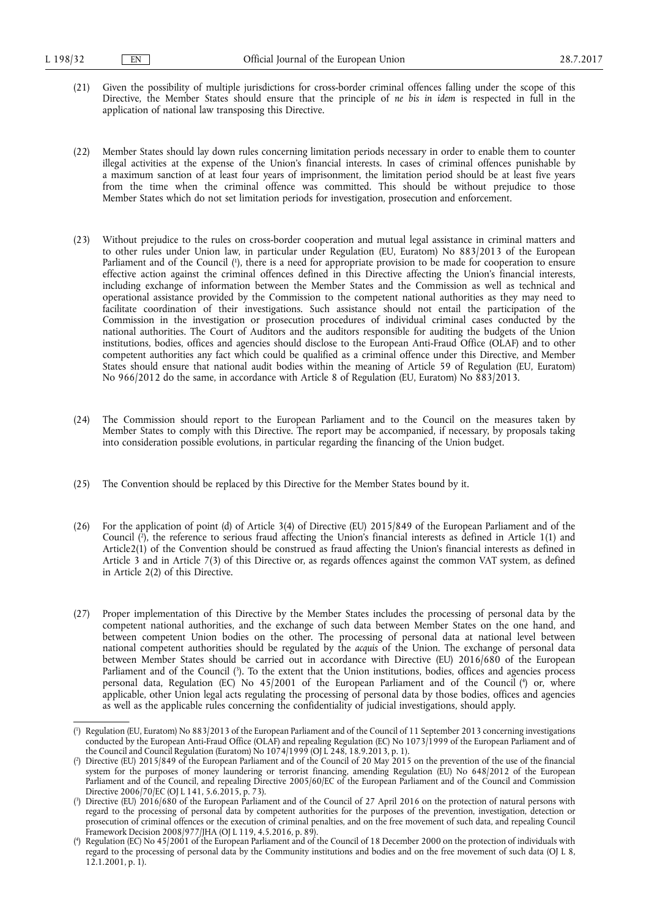- (21) Given the possibility of multiple jurisdictions for cross-border criminal offences falling under the scope of this Directive, the Member States should ensure that the principle of *ne bis in idem* is respected in full in the application of national law transposing this Directive.
- (22) Member States should lay down rules concerning limitation periods necessary in order to enable them to counter illegal activities at the expense of the Union's financial interests. In cases of criminal offences punishable by a maximum sanction of at least four years of imprisonment, the limitation period should be at least five years from the time when the criminal offence was committed. This should be without prejudice to those Member States which do not set limitation periods for investigation, prosecution and enforcement.
- (23) Without prejudice to the rules on cross-border cooperation and mutual legal assistance in criminal matters and to other rules under Union law, in particular under Regulation (EU, Euratom) No 883/2013 of the European Parliament and of the Council ( 1 ), there is a need for appropriate provision to be made for cooperation to ensure effective action against the criminal offences defined in this Directive affecting the Union's financial interests, including exchange of information between the Member States and the Commission as well as technical and operational assistance provided by the Commission to the competent national authorities as they may need to facilitate coordination of their investigations. Such assistance should not entail the participation of the Commission in the investigation or prosecution procedures of individual criminal cases conducted by the national authorities. The Court of Auditors and the auditors responsible for auditing the budgets of the Union institutions, bodies, offices and agencies should disclose to the European Anti-Fraud Office (OLAF) and to other competent authorities any fact which could be qualified as a criminal offence under this Directive, and Member States should ensure that national audit bodies within the meaning of Article 59 of Regulation (EU, Euratom) No 966/2012 do the same, in accordance with Article 8 of Regulation (EU, Euratom) No 883/2013.
- (24) The Commission should report to the European Parliament and to the Council on the measures taken by Member States to comply with this Directive. The report may be accompanied, if necessary, by proposals taking into consideration possible evolutions, in particular regarding the financing of the Union budget.
- (25) The Convention should be replaced by this Directive for the Member States bound by it.
- (26) For the application of point (d) of Article 3(4) of Directive (EU) 2015/849 of the European Parliament and of the Council ( 2 ), the reference to serious fraud affecting the Union's financial interests as defined in Article 1(1) and Article2(1) of the Convention should be construed as fraud affecting the Union's financial interests as defined in Article 3 and in Article 7(3) of this Directive or, as regards offences against the common VAT system, as defined in Article 2(2) of this Directive.
- (27) Proper implementation of this Directive by the Member States includes the processing of personal data by the competent national authorities, and the exchange of such data between Member States on the one hand, and between competent Union bodies on the other. The processing of personal data at national level between national competent authorities should be regulated by the *acquis* of the Union. The exchange of personal data between Member States should be carried out in accordance with Directive (EU) 2016/680 of the European Parliament and of the Council ( 3 ). To the extent that the Union institutions, bodies, offices and agencies process personal data, Regulation (EC) No 45/2001 of the European Parliament and of the Council ( 4 ) or, where applicable, other Union legal acts regulating the processing of personal data by those bodies, offices and agencies as well as the applicable rules concerning the confidentiality of judicial investigations, should apply.

<sup>(</sup> 1 ) Regulation (EU, Euratom) No 883/2013 of the European Parliament and of the Council of 11 September 2013 concerning investigations conducted by the European Anti-Fraud Office (OLAF) and repealing Regulation (EC) No 1073/1999 of the European Parliament and of the Council and Council Regulation (Euratom) No 1074/1999 (OJ L 248, 18.9.2013, p. 1).

<sup>(</sup> 2 ) Directive (EU) 2015/849 of the European Parliament and of the Council of 20 May 2015 on the prevention of the use of the financial system for the purposes of money laundering or terrorist financing, amending Regulation (EU) No 648/2012 of the European Parliament and of the Council, and repealing Directive 2005/60/EC of the European Parliament and of the Council and Commission Directive 2006/70/EC (OJ L 141, 5.6.2015, p. 73).

<sup>(</sup> 3 ) Directive (EU) 2016/680 of the European Parliament and of the Council of 27 April 2016 on the protection of natural persons with regard to the processing of personal data by competent authorities for the purposes of the prevention, investigation, detection or prosecution of criminal offences or the execution of criminal penalties, and on the free movement of such data, and repealing Council Framework Decision 2008/977/JHA (OJ L 119, 4.5.2016, p. 89).

<sup>(</sup> 4 ) Regulation (EC) No 45/2001 of the European Parliament and of the Council of 18 December 2000 on the protection of individuals with regard to the processing of personal data by the Community institutions and bodies and on the free movement of such data (OJ L 8, 12.1.2001, p. 1).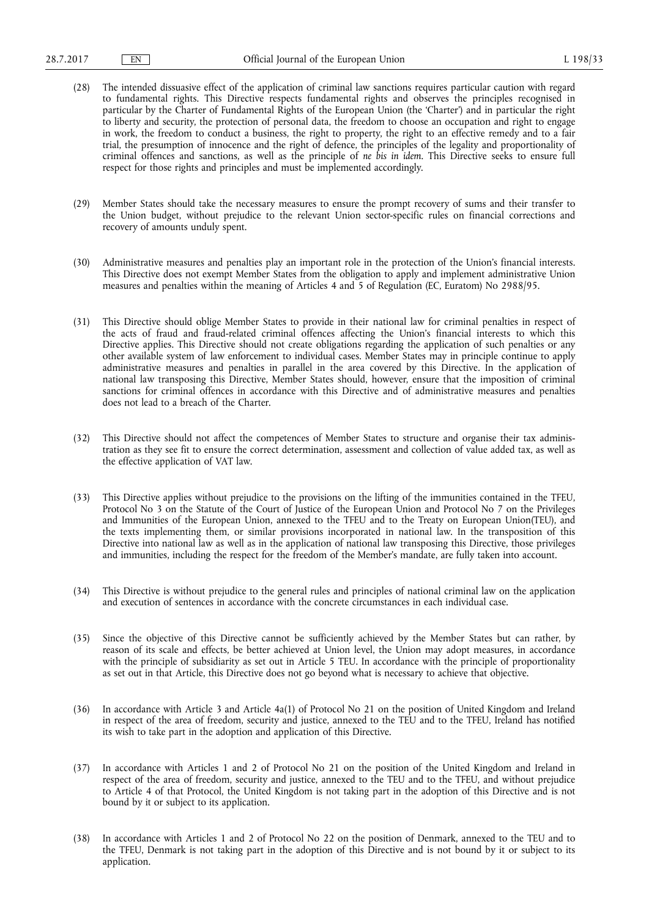- (28) The intended dissuasive effect of the application of criminal law sanctions requires particular caution with regard to fundamental rights. This Directive respects fundamental rights and observes the principles recognised in particular by the Charter of Fundamental Rights of the European Union (the 'Charter') and in particular the right to liberty and security, the protection of personal data, the freedom to choose an occupation and right to engage in work, the freedom to conduct a business, the right to property, the right to an effective remedy and to a fair trial, the presumption of innocence and the right of defence, the principles of the legality and proportionality of criminal offences and sanctions, as well as the principle of *ne bis in idem*. This Directive seeks to ensure full respect for those rights and principles and must be implemented accordingly.
- (29) Member States should take the necessary measures to ensure the prompt recovery of sums and their transfer to the Union budget, without prejudice to the relevant Union sector-specific rules on financial corrections and recovery of amounts unduly spent.
- (30) Administrative measures and penalties play an important role in the protection of the Union's financial interests. This Directive does not exempt Member States from the obligation to apply and implement administrative Union measures and penalties within the meaning of Articles 4 and 5 of Regulation (EC, Euratom) No 2988/95.
- (31) This Directive should oblige Member States to provide in their national law for criminal penalties in respect of the acts of fraud and fraud-related criminal offences affecting the Union's financial interests to which this Directive applies. This Directive should not create obligations regarding the application of such penalties or any other available system of law enforcement to individual cases. Member States may in principle continue to apply administrative measures and penalties in parallel in the area covered by this Directive. In the application of national law transposing this Directive, Member States should, however, ensure that the imposition of criminal sanctions for criminal offences in accordance with this Directive and of administrative measures and penalties does not lead to a breach of the Charter.
- (32) This Directive should not affect the competences of Member States to structure and organise their tax administration as they see fit to ensure the correct determination, assessment and collection of value added tax, as well as the effective application of VAT law.
- (33) This Directive applies without prejudice to the provisions on the lifting of the immunities contained in the TFEU, Protocol No 3 on the Statute of the Court of Justice of the European Union and Protocol No 7 on the Privileges and Immunities of the European Union, annexed to the TFEU and to the Treaty on European Union(TEU), and the texts implementing them, or similar provisions incorporated in national law. In the transposition of this Directive into national law as well as in the application of national law transposing this Directive, those privileges and immunities, including the respect for the freedom of the Member's mandate, are fully taken into account.
- (34) This Directive is without prejudice to the general rules and principles of national criminal law on the application and execution of sentences in accordance with the concrete circumstances in each individual case.
- (35) Since the objective of this Directive cannot be sufficiently achieved by the Member States but can rather, by reason of its scale and effects, be better achieved at Union level, the Union may adopt measures, in accordance with the principle of subsidiarity as set out in Article 5 TEU. In accordance with the principle of proportionality as set out in that Article, this Directive does not go beyond what is necessary to achieve that objective.
- (36) In accordance with Article 3 and Article 4a(1) of Protocol No 21 on the position of United Kingdom and Ireland in respect of the area of freedom, security and justice, annexed to the TEU and to the TFEU, Ireland has notified its wish to take part in the adoption and application of this Directive.
- (37) In accordance with Articles 1 and 2 of Protocol No 21 on the position of the United Kingdom and Ireland in respect of the area of freedom, security and justice, annexed to the TEU and to the TFEU, and without prejudice to Article 4 of that Protocol, the United Kingdom is not taking part in the adoption of this Directive and is not bound by it or subject to its application.
- (38) In accordance with Articles 1 and 2 of Protocol No 22 on the position of Denmark, annexed to the TEU and to the TFEU, Denmark is not taking part in the adoption of this Directive and is not bound by it or subject to its application.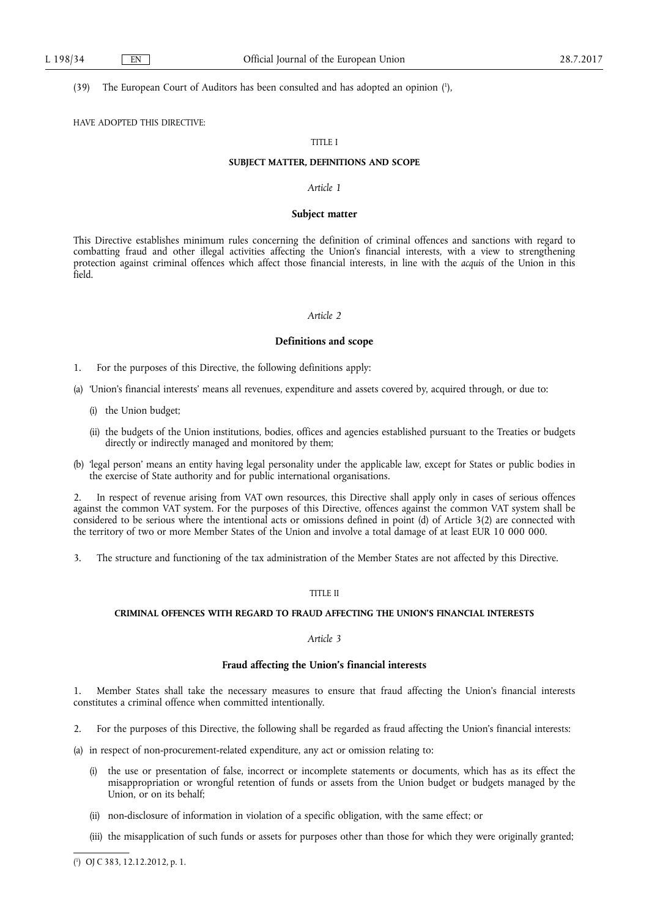#### (39) The European Court of Auditors has been consulted and has adopted an opinion ( 1 ),

HAVE ADOPTED THIS DIRECTIVE:

# TITLE I

# **SUBJECT MATTER, DEFINITIONS AND SCOPE**

# *Article 1*

#### **Subject matter**

This Directive establishes minimum rules concerning the definition of criminal offences and sanctions with regard to combatting fraud and other illegal activities affecting the Union's financial interests, with a view to strengthening protection against criminal offences which affect those financial interests, in line with the *acquis* of the Union in this field.

# *Article 2*

# **Definitions and scope**

1. For the purposes of this Directive, the following definitions apply:

- (a) 'Union's financial interests' means all revenues, expenditure and assets covered by, acquired through, or due to:
	- (i) the Union budget;
	- (ii) the budgets of the Union institutions, bodies, offices and agencies established pursuant to the Treaties or budgets directly or indirectly managed and monitored by them;
- (b) 'legal person' means an entity having legal personality under the applicable law, except for States or public bodies in the exercise of State authority and for public international organisations.

2. In respect of revenue arising from VAT own resources, this Directive shall apply only in cases of serious offences against the common VAT system. For the purposes of this Directive, offences against the common VAT system shall be considered to be serious where the intentional acts or omissions defined in point (d) of Article 3(2) are connected with the territory of two or more Member States of the Union and involve a total damage of at least EUR 10 000 000.

3. The structure and functioning of the tax administration of the Member States are not affected by this Directive.

# TITLE II

# **CRIMINAL OFFENCES WITH REGARD TO FRAUD AFFECTING THE UNION'S FINANCIAL INTERESTS**

# *Article 3*

### **Fraud affecting the Union's financial interests**

1. Member States shall take the necessary measures to ensure that fraud affecting the Union's financial interests constitutes a criminal offence when committed intentionally.

- 2. For the purposes of this Directive, the following shall be regarded as fraud affecting the Union's financial interests:
- (a) in respect of non-procurement-related expenditure, any act or omission relating to:
	- (i) the use or presentation of false, incorrect or incomplete statements or documents, which has as its effect the misappropriation or wrongful retention of funds or assets from the Union budget or budgets managed by the Union, or on its behalf;
	- (ii) non-disclosure of information in violation of a specific obligation, with the same effect; or
	- (iii) the misapplication of such funds or assets for purposes other than those for which they were originally granted;

<sup>(</sup> 1 ) OJ C 383, 12.12.2012, p. 1.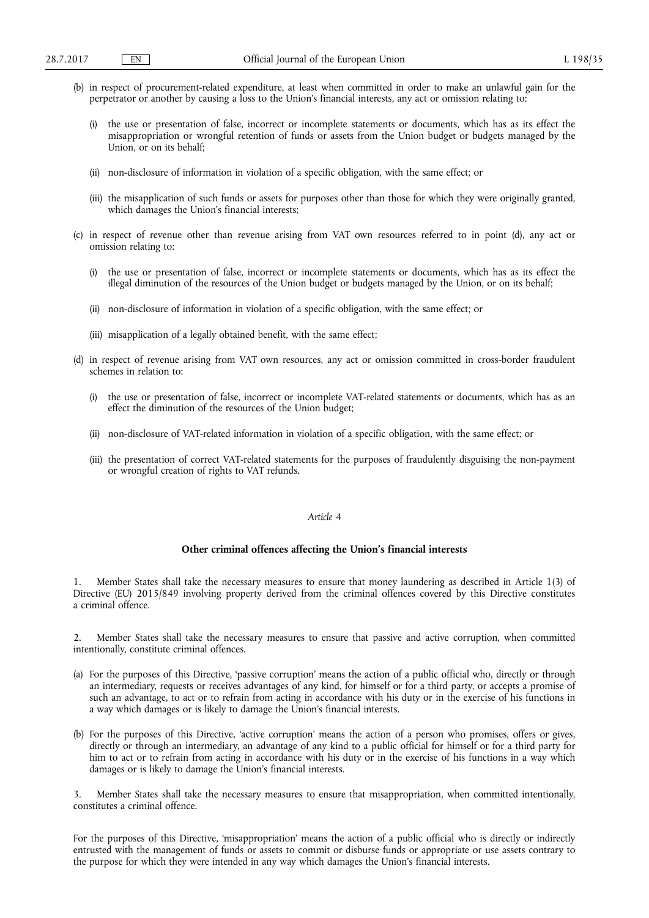- (b) in respect of procurement-related expenditure, at least when committed in order to make an unlawful gain for the perpetrator or another by causing a loss to the Union's financial interests, any act or omission relating to:
	- the use or presentation of false, incorrect or incomplete statements or documents, which has as its effect the misappropriation or wrongful retention of funds or assets from the Union budget or budgets managed by the Union, or on its behalf;
	- (ii) non-disclosure of information in violation of a specific obligation, with the same effect; or
	- (iii) the misapplication of such funds or assets for purposes other than those for which they were originally granted, which damages the Union's financial interests;
- (c) in respect of revenue other than revenue arising from VAT own resources referred to in point (d), any act or omission relating to:
	- (i) the use or presentation of false, incorrect or incomplete statements or documents, which has as its effect the illegal diminution of the resources of the Union budget or budgets managed by the Union, or on its behalf;
	- (ii) non-disclosure of information in violation of a specific obligation, with the same effect; or
	- (iii) misapplication of a legally obtained benefit, with the same effect;
- (d) in respect of revenue arising from VAT own resources, any act or omission committed in cross-border fraudulent schemes in relation to:
	- (i) the use or presentation of false, incorrect or incomplete VAT-related statements or documents, which has as an effect the diminution of the resources of the Union budget;
	- (ii) non-disclosure of VAT-related information in violation of a specific obligation, with the same effect; or
	- (iii) the presentation of correct VAT-related statements for the purposes of fraudulently disguising the non-payment or wrongful creation of rights to VAT refunds.

### *Article 4*

### **Other criminal offences affecting the Union's financial interests**

1. Member States shall take the necessary measures to ensure that money laundering as described in Article 1(3) of Directive (EU) 2015/849 involving property derived from the criminal offences covered by this Directive constitutes a criminal offence.

2. Member States shall take the necessary measures to ensure that passive and active corruption, when committed intentionally, constitute criminal offences.

- (a) For the purposes of this Directive, 'passive corruption' means the action of a public official who, directly or through an intermediary, requests or receives advantages of any kind, for himself or for a third party, or accepts a promise of such an advantage, to act or to refrain from acting in accordance with his duty or in the exercise of his functions in a way which damages or is likely to damage the Union's financial interests.
- (b) For the purposes of this Directive, 'active corruption' means the action of a person who promises, offers or gives, directly or through an intermediary, an advantage of any kind to a public official for himself or for a third party for him to act or to refrain from acting in accordance with his duty or in the exercise of his functions in a way which damages or is likely to damage the Union's financial interests.

3. Member States shall take the necessary measures to ensure that misappropriation, when committed intentionally, constitutes a criminal offence.

For the purposes of this Directive, 'misappropriation' means the action of a public official who is directly or indirectly entrusted with the management of funds or assets to commit or disburse funds or appropriate or use assets contrary to the purpose for which they were intended in any way which damages the Union's financial interests.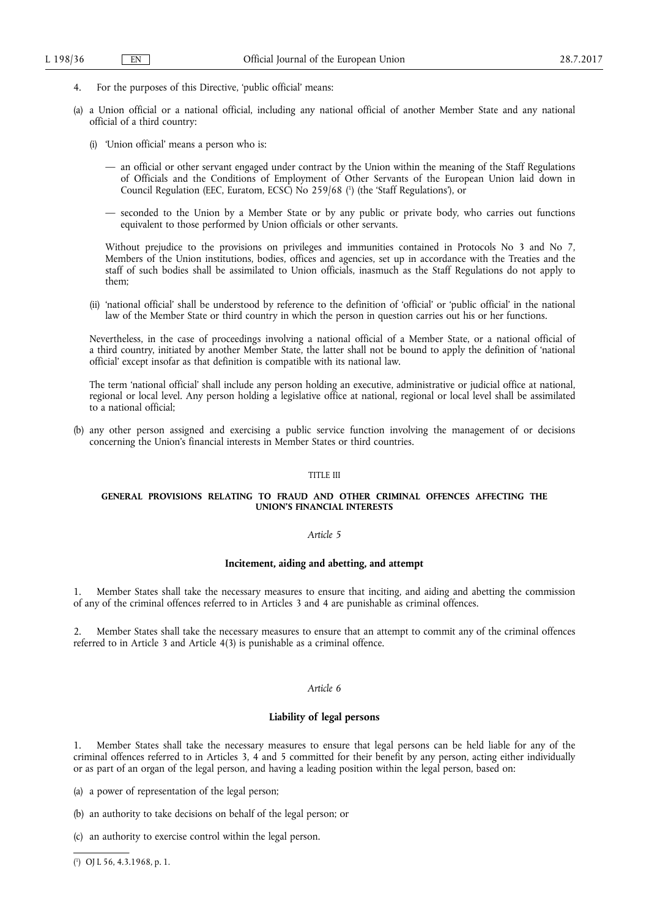- 4. For the purposes of this Directive, 'public official' means:
- (a) a Union official or a national official, including any national official of another Member State and any national official of a third country:
	- (i) 'Union official' means a person who is:
		- an official or other servant engaged under contract by the Union within the meaning of the Staff Regulations of Officials and the Conditions of Employment of Other Servants of the European Union laid down in Council Regulation (EEC, Euratom, ECSC) No 259/68 ( 1 ) (the 'Staff Regulations'), or
		- seconded to the Union by a Member State or by any public or private body, who carries out functions equivalent to those performed by Union officials or other servants.

Without prejudice to the provisions on privileges and immunities contained in Protocols No 3 and No 7, Members of the Union institutions, bodies, offices and agencies, set up in accordance with the Treaties and the staff of such bodies shall be assimilated to Union officials, inasmuch as the Staff Regulations do not apply to them;

(ii) 'national official' shall be understood by reference to the definition of 'official' or 'public official' in the national law of the Member State or third country in which the person in question carries out his or her functions.

Nevertheless, in the case of proceedings involving a national official of a Member State, or a national official of a third country, initiated by another Member State, the latter shall not be bound to apply the definition of 'national official' except insofar as that definition is compatible with its national law.

The term 'national official' shall include any person holding an executive, administrative or judicial office at national, regional or local level. Any person holding a legislative office at national, regional or local level shall be assimilated to a national official;

(b) any other person assigned and exercising a public service function involving the management of or decisions concerning the Union's financial interests in Member States or third countries.

#### TITLE III

# **GENERAL PROVISIONS RELATING TO FRAUD AND OTHER CRIMINAL OFFENCES AFFECTING THE UNION'S FINANCIAL INTERESTS**

# *Article 5*

### **Incitement, aiding and abetting, and attempt**

1. Member States shall take the necessary measures to ensure that inciting, and aiding and abetting the commission of any of the criminal offences referred to in Articles 3 and 4 are punishable as criminal offences.

2. Member States shall take the necessary measures to ensure that an attempt to commit any of the criminal offences referred to in Article 3 and Article 4(3) is punishable as a criminal offence.

### *Article 6*

### **Liability of legal persons**

1. Member States shall take the necessary measures to ensure that legal persons can be held liable for any of the criminal offences referred to in Articles 3, 4 and 5 committed for their benefit by any person, acting either individually or as part of an organ of the legal person, and having a leading position within the legal person, based on:

(a) a power of representation of the legal person;

- (b) an authority to take decisions on behalf of the legal person; or
- (c) an authority to exercise control within the legal person.

( 1 ) OJ L 56, 4.3.1968, p. 1.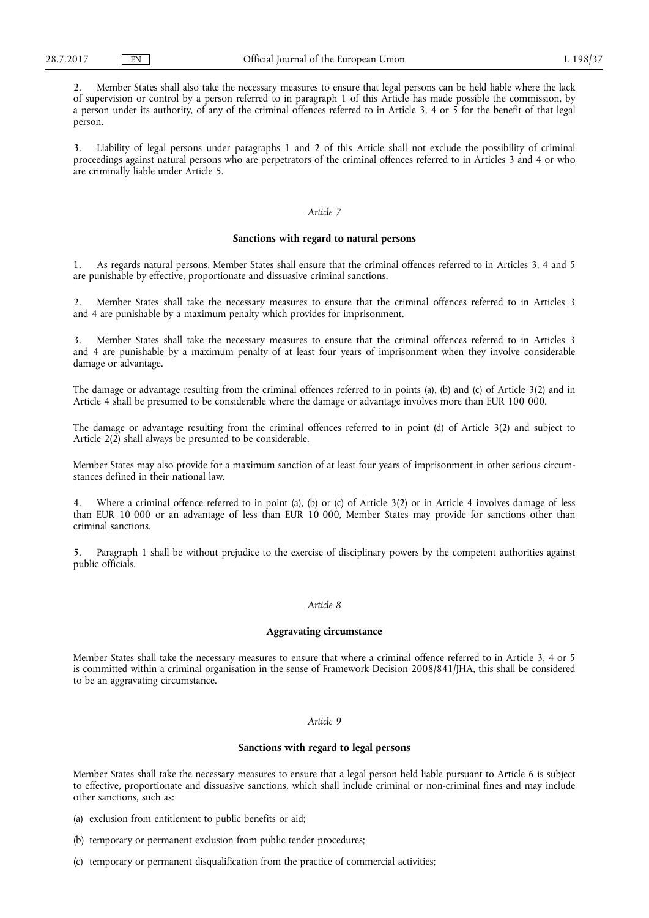2. Member States shall also take the necessary measures to ensure that legal persons can be held liable where the lack of supervision or control by a person referred to in paragraph 1 of this Article has made possible the commission, by a person under its authority, of any of the criminal offences referred to in Article 3, 4 or 5 for the benefit of that legal person.

3. Liability of legal persons under paragraphs 1 and 2 of this Article shall not exclude the possibility of criminal proceedings against natural persons who are perpetrators of the criminal offences referred to in Articles 3 and 4 or who are criminally liable under Article 5.

# *Article 7*

# **Sanctions with regard to natural persons**

1. As regards natural persons, Member States shall ensure that the criminal offences referred to in Articles 3, 4 and 5 are punishable by effective, proportionate and dissuasive criminal sanctions.

2. Member States shall take the necessary measures to ensure that the criminal offences referred to in Articles 3 and 4 are punishable by a maximum penalty which provides for imprisonment.

3. Member States shall take the necessary measures to ensure that the criminal offences referred to in Articles 3 and 4 are punishable by a maximum penalty of at least four years of imprisonment when they involve considerable damage or advantage.

The damage or advantage resulting from the criminal offences referred to in points (a), (b) and (c) of Article 3(2) and in Article 4 shall be presumed to be considerable where the damage or advantage involves more than EUR 100 000.

The damage or advantage resulting from the criminal offences referred to in point (d) of Article 3(2) and subject to Article 2(2) shall always be presumed to be considerable.

Member States may also provide for a maximum sanction of at least four years of imprisonment in other serious circumstances defined in their national law.

4. Where a criminal offence referred to in point (a), (b) or (c) of Article 3(2) or in Article 4 involves damage of less than EUR 10 000 or an advantage of less than EUR 10 000, Member States may provide for sanctions other than criminal sanctions.

5. Paragraph 1 shall be without prejudice to the exercise of disciplinary powers by the competent authorities against public officials.

# *Article 8*

#### **Aggravating circumstance**

Member States shall take the necessary measures to ensure that where a criminal offence referred to in Article 3, 4 or 5 is committed within a criminal organisation in the sense of Framework Decision 2008/841/JHA, this shall be considered to be an aggravating circumstance.

### *Article 9*

# **Sanctions with regard to legal persons**

Member States shall take the necessary measures to ensure that a legal person held liable pursuant to Article 6 is subject to effective, proportionate and dissuasive sanctions, which shall include criminal or non-criminal fines and may include other sanctions, such as:

- (a) exclusion from entitlement to public benefits or aid;
- (b) temporary or permanent exclusion from public tender procedures;
- (c) temporary or permanent disqualification from the practice of commercial activities;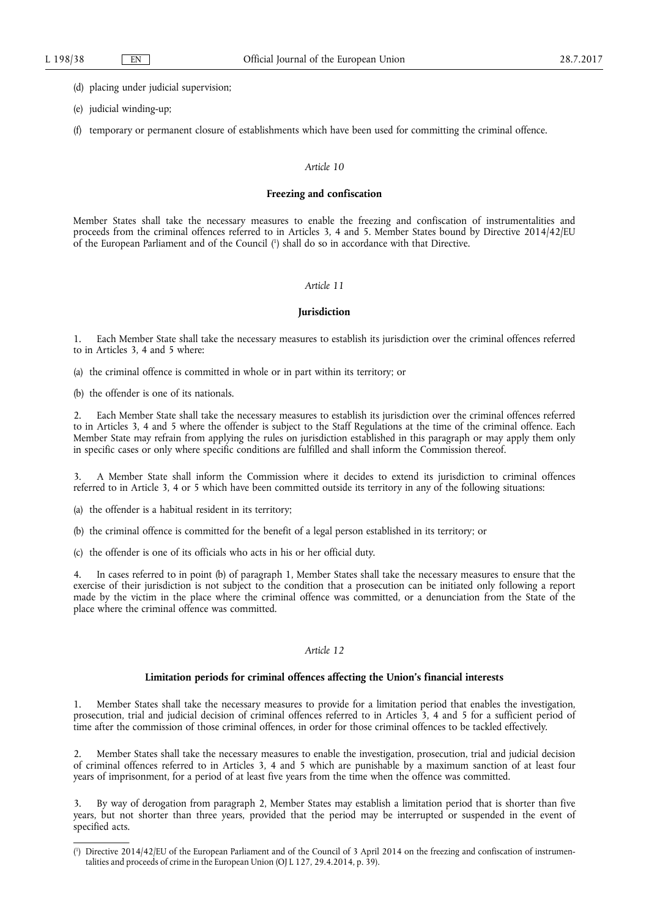(d) placing under judicial supervision;

- (e) judicial winding-up;
- (f) temporary or permanent closure of establishments which have been used for committing the criminal offence.

#### *Article 10*

#### **Freezing and confiscation**

Member States shall take the necessary measures to enable the freezing and confiscation of instrumentalities and proceeds from the criminal offences referred to in Articles 3, 4 and 5. Member States bound by Directive 2014/42/EU of the European Parliament and of the Council ( 1 ) shall do so in accordance with that Directive.

# *Article 11*

# **Jurisdiction**

1. Each Member State shall take the necessary measures to establish its jurisdiction over the criminal offences referred to in Articles 3, 4 and 5 where:

(a) the criminal offence is committed in whole or in part within its territory; or

(b) the offender is one of its nationals.

2. Each Member State shall take the necessary measures to establish its jurisdiction over the criminal offences referred to in Articles 3, 4 and 5 where the offender is subject to the Staff Regulations at the time of the criminal offence. Each Member State may refrain from applying the rules on jurisdiction established in this paragraph or may apply them only in specific cases or only where specific conditions are fulfilled and shall inform the Commission thereof.

3. A Member State shall inform the Commission where it decides to extend its jurisdiction to criminal offences referred to in Article 3, 4 or 5 which have been committed outside its territory in any of the following situations:

(a) the offender is a habitual resident in its territory;

(b) the criminal offence is committed for the benefit of a legal person established in its territory; or

(c) the offender is one of its officials who acts in his or her official duty.

In cases referred to in point (b) of paragraph 1, Member States shall take the necessary measures to ensure that the exercise of their jurisdiction is not subject to the condition that a prosecution can be initiated only following a report made by the victim in the place where the criminal offence was committed, or a denunciation from the State of the place where the criminal offence was committed.

# *Article 12*

#### **Limitation periods for criminal offences affecting the Union's financial interests**

1. Member States shall take the necessary measures to provide for a limitation period that enables the investigation, prosecution, trial and judicial decision of criminal offences referred to in Articles 3, 4 and 5 for a sufficient period of time after the commission of those criminal offences, in order for those criminal offences to be tackled effectively.

2. Member States shall take the necessary measures to enable the investigation, prosecution, trial and judicial decision of criminal offences referred to in Articles 3, 4 and 5 which are punishable by a maximum sanction of at least four years of imprisonment, for a period of at least five years from the time when the offence was committed.

3. By way of derogation from paragraph 2, Member States may establish a limitation period that is shorter than five years, but not shorter than three years, provided that the period may be interrupted or suspended in the event of specified acts.

<sup>(</sup> 1 ) Directive 2014/42/EU of the European Parliament and of the Council of 3 April 2014 on the freezing and confiscation of instrumentalities and proceeds of crime in the European Union (OJ L 127, 29.4.2014, p. 39).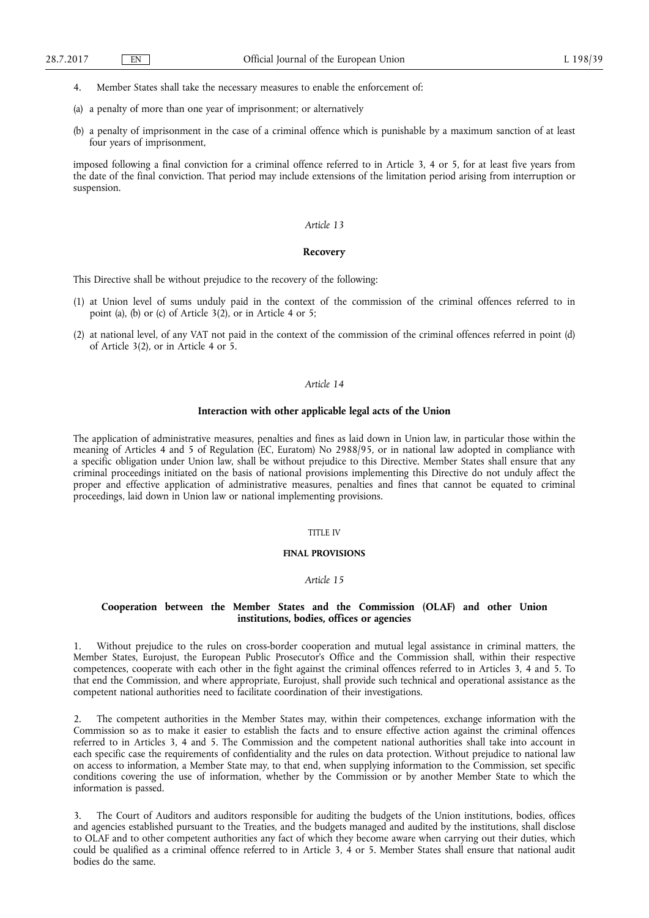- 4. Member States shall take the necessary measures to enable the enforcement of:
- (a) a penalty of more than one year of imprisonment; or alternatively
- (b) a penalty of imprisonment in the case of a criminal offence which is punishable by a maximum sanction of at least four years of imprisonment,

imposed following a final conviction for a criminal offence referred to in Article 3, 4 or 5, for at least five years from the date of the final conviction. That period may include extensions of the limitation period arising from interruption or suspension.

#### *Article 13*

#### **Recovery**

This Directive shall be without prejudice to the recovery of the following:

- (1) at Union level of sums unduly paid in the context of the commission of the criminal offences referred to in point (a), (b) or (c) of Article 3(2), or in Article 4 or 5;
- (2) at national level, of any VAT not paid in the context of the commission of the criminal offences referred in point (d) of Article 3(2), or in Article 4 or 5.

# *Article 14*

# **Interaction with other applicable legal acts of the Union**

The application of administrative measures, penalties and fines as laid down in Union law, in particular those within the meaning of Articles 4 and 5 of Regulation (EC, Euratom) No 2988/95, or in national law adopted in compliance with a specific obligation under Union law, shall be without prejudice to this Directive. Member States shall ensure that any criminal proceedings initiated on the basis of national provisions implementing this Directive do not unduly affect the proper and effective application of administrative measures, penalties and fines that cannot be equated to criminal proceedings, laid down in Union law or national implementing provisions.

# TITLE IV

# **FINAL PROVISIONS**

# *Article 15*

# **Cooperation between the Member States and the Commission (OLAF) and other Union institutions, bodies, offices or agencies**

1. Without prejudice to the rules on cross-border cooperation and mutual legal assistance in criminal matters, the Member States, Eurojust, the European Public Prosecutor's Office and the Commission shall, within their respective competences, cooperate with each other in the fight against the criminal offences referred to in Articles 3, 4 and 5. To that end the Commission, and where appropriate, Eurojust, shall provide such technical and operational assistance as the competent national authorities need to facilitate coordination of their investigations.

2. The competent authorities in the Member States may, within their competences, exchange information with the Commission so as to make it easier to establish the facts and to ensure effective action against the criminal offences referred to in Articles 3, 4 and 5. The Commission and the competent national authorities shall take into account in each specific case the requirements of confidentiality and the rules on data protection. Without prejudice to national law on access to information, a Member State may, to that end, when supplying information to the Commission, set specific conditions covering the use of information, whether by the Commission or by another Member State to which the information is passed.

3. The Court of Auditors and auditors responsible for auditing the budgets of the Union institutions, bodies, offices and agencies established pursuant to the Treaties, and the budgets managed and audited by the institutions, shall disclose to OLAF and to other competent authorities any fact of which they become aware when carrying out their duties, which could be qualified as a criminal offence referred to in Article 3, 4 or 5. Member States shall ensure that national audit bodies do the same.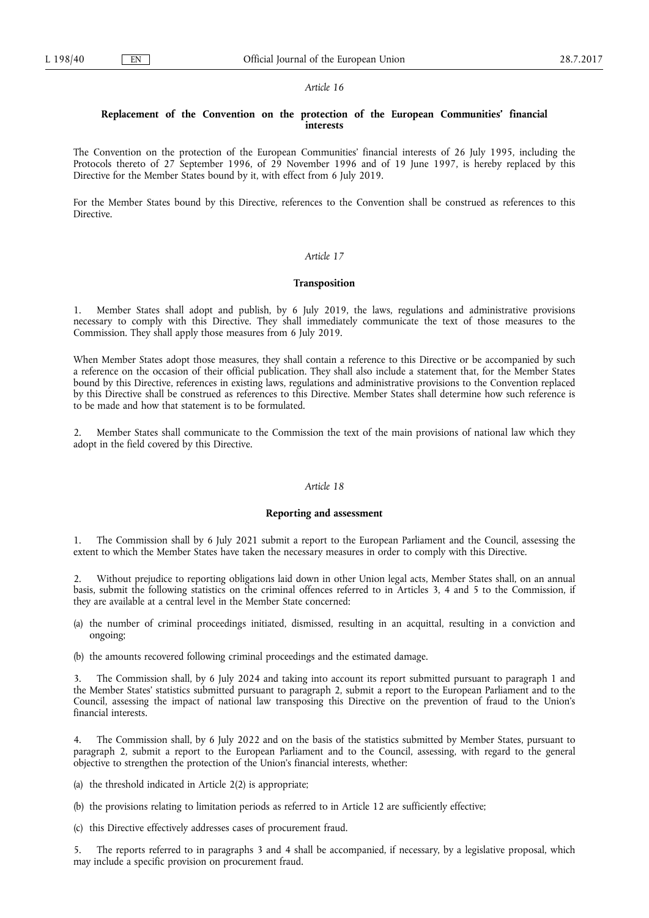#### *Article 16*

# **Replacement of the Convention on the protection of the European Communities' financial interests**

The Convention on the protection of the European Communities' financial interests of 26 July 1995, including the Protocols thereto of 27 September 1996, of 29 November 1996 and of 19 June 1997, is hereby replaced by this Directive for the Member States bound by it, with effect from 6 July 2019.

For the Member States bound by this Directive, references to the Convention shall be construed as references to this Directive.

# *Article 17*

# **Transposition**

1. Member States shall adopt and publish, by 6 July 2019, the laws, regulations and administrative provisions necessary to comply with this Directive. They shall immediately communicate the text of those measures to the Commission. They shall apply those measures from 6 July 2019.

When Member States adopt those measures, they shall contain a reference to this Directive or be accompanied by such a reference on the occasion of their official publication. They shall also include a statement that, for the Member States bound by this Directive, references in existing laws, regulations and administrative provisions to the Convention replaced by this Directive shall be construed as references to this Directive. Member States shall determine how such reference is to be made and how that statement is to be formulated.

2. Member States shall communicate to the Commission the text of the main provisions of national law which they adopt in the field covered by this Directive.

# *Article 18*

#### **Reporting and assessment**

1. The Commission shall by 6 July 2021 submit a report to the European Parliament and the Council, assessing the extent to which the Member States have taken the necessary measures in order to comply with this Directive.

2. Without prejudice to reporting obligations laid down in other Union legal acts, Member States shall, on an annual basis, submit the following statistics on the criminal offences referred to in Articles 3, 4 and 5 to the Commission, if they are available at a central level in the Member State concerned:

- (a) the number of criminal proceedings initiated, dismissed, resulting in an acquittal, resulting in a conviction and ongoing;
- (b) the amounts recovered following criminal proceedings and the estimated damage.

3. The Commission shall, by 6 July 2024 and taking into account its report submitted pursuant to paragraph 1 and the Member States' statistics submitted pursuant to paragraph 2, submit a report to the European Parliament and to the Council, assessing the impact of national law transposing this Directive on the prevention of fraud to the Union's financial interests.

4. The Commission shall, by 6 July 2022 and on the basis of the statistics submitted by Member States, pursuant to paragraph 2, submit a report to the European Parliament and to the Council, assessing, with regard to the general objective to strengthen the protection of the Union's financial interests, whether:

(a) the threshold indicated in Article 2(2) is appropriate;

- (b) the provisions relating to limitation periods as referred to in Article 12 are sufficiently effective;
- (c) this Directive effectively addresses cases of procurement fraud.

The reports referred to in paragraphs 3 and 4 shall be accompanied, if necessary, by a legislative proposal, which may include a specific provision on procurement fraud.